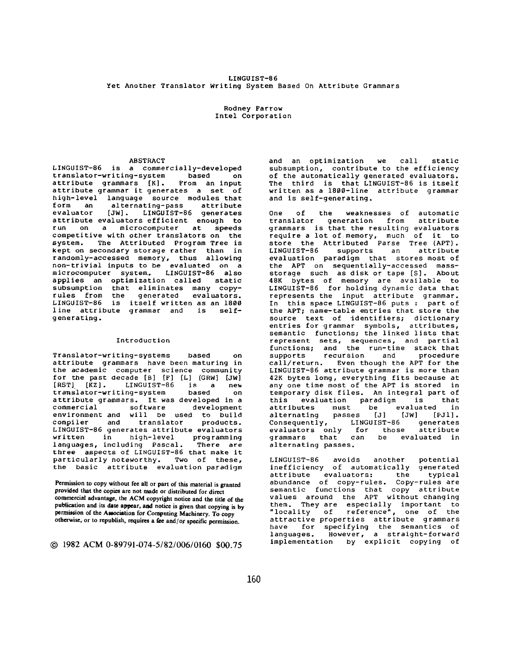# LINGUIST-86 Yet Another Translator Writing System Based On Attribute Grammars

Rodney Farrow Intel Corporation

# ABSTRACT

LINGUIST-86 is a commercially-developed translator-writing-system based on<br>attribute grammars [K]. From an input attribute grammars  $[K]$ . attribute grammar it generates a set of high-level language source modules that<br>form an alternating-pass attribute form an alternating-pass attribute<br>evaluator [JW]. LINGUIST-86 generates LINGUIST-86 generates attribute evaluators efficient enough to run on a microcomputer at speeds competitive with other translators on the<br>system. The Attributed Program Tree is The Attributed Program Tree is kept on secondary storage rather than in randomly-accessed memory, thus allowing non-trivial inputs to be evaluated on a microcomputer system. LINGUIST-86 also applies an optimization called static subsumption that eliminates many copy-<br>rules from the generated evaluators. rules from the generated evaluators. LINGUIST-86 is itself written as an 1800 line attribute grammar and is selfgenerating.

### Introduction

*Translator-writing-systems* based on attribute grammars have been maturing in the academic computer science community for the past decade [B] IF] [L] [GRW] [JW] [RST] [KZ]. LINGUIST-86 is a new *translator-writing-system* based on attribute grammars. It was developed in a mmercial software development environment and will be used to build<br>compiler and translator products. translator products. LINGUIST-86 generates attribute evaluators written in high-level programming languages, including *Pascal.* There are three aspects of LINGUIST-86 that make it particularly noteworthy. Two of these, the basic *attribute* evaluation paradigm

Permission to copy without fee all or part of this material is **granted**  provided that the copies are not made or distributed for direct commercial advantage, the ACM copyright notice **and the** title of the publication and its date appear, and notice is given that copying is by permission of the Awoeiation **for Compating** Machinery. To copy otherwise, or to republish, requires a fee and/or specific permission.

© 1982ACM0-89791-074-5/82/006/0160 \$00.75

and an optimization we call static subsumption, contribute to the efficiency of the automatically generated evaluators. The third is that LINGUIST-86 is itself written as a 1800-1ine attribute grammar and is self-generating.

One of the weaknesses of automatic<br>translator generation from attribute translator generation from grammars is that the resulting evaluators require a lot of memory, much of it to store the Attributed Parse Tree (APT). LINGUIST-86 supports an attribute evaluation paradigm that stores most of the APT on *sequentially-accessed* massstorage such as disk or tape [S]. About 48K bytes of memory are available to LINGUIST-86 for holding dynamic data that represents the input attribute grammar. In this space LINGUIST-86 puts : part of the APT; name-table entries that store the source text of identifiers; dictionary entries for grammar symbols, attributes, semantic functions; the linked lists that represent sets, sequences, and partial functions; and the run-time stack that<br>supports recursion and procedure recursion call/return. Even though the APT for the LINGUIST-86 attribute grammar is more than 42K bytes long, everything fits because at any one time most of the APT is stored in temporary disk files. An integral part of this evaluation paradigm is that attributes must be evaluated in alternating passes [J] [JW] [PJI]. Consequently, evaluators only for those attribute<br>grammars that can be evaluated in grammars that can be *alternating* passes.

LINGUIST-86 avoids another potential inefficiency of automatically generated<br>attribute evaluators: the typical  $evaluators:$ *abundance* of copy-rules. Copy-rules are semantic functions that copy attribute values around the APT without changing them. They are especially important to "locality of reference", one of the attractive properties attribute grammars have for specifying the semantics of languages. However, a straight-forward implementation by explicit copying of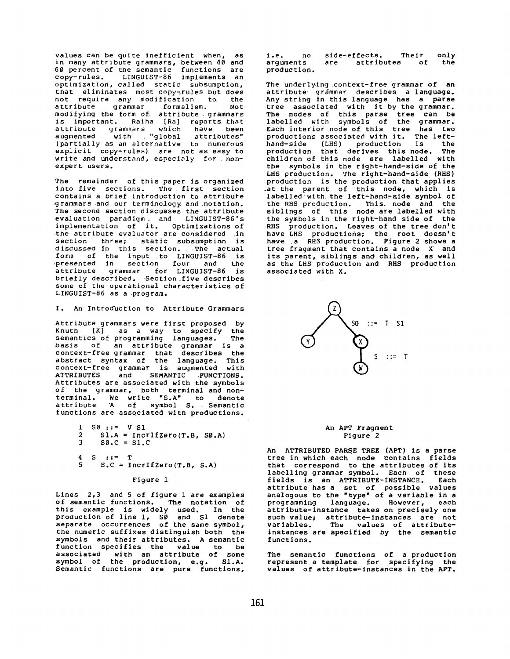values can be quite inefficient when, as in many attribute grammars, between 40 and 60 percent of the semantic functions are copy-rules. LINGUIST-86 implements an optimization, called static subsumption, that eliminates most-copy-rules-but-does<br>not require any modification, to the not require any modification to attribute grammar formalism. Not modifying the form of attribute grammars is important. Raiha [Ra] reports that *attribute* grammars which have been augmented with "global attributes" (partially as an alternative to numerous explicit copy-rules) are not as easy to write and understand, especialy for nonexpert users.

The remainder of this paper is organized into five sections. The first section contains a brief introduction to attribute grammars *and our* terminology *and notation.*  The second section discusses the attribute *evaluation* paradigm and LINGUIST-86's implementation of it. Optimizations of the attribute evaluator are considered in section three; static subsumption is discussed in this section. The *actual*  form of the input to LINGUIST-86 is presented in section four and the attribute grammar for LINGUIST-86 is briefly described. Section\_five describes some of the *operational* characteristics of LINGUIST-86 as a program,

I. An Introd'uction to Attribute Grammars

Attribute grammars were first proposed by Knuth [K] as a way to specify the semantics of programming languages. The basis of an attribute grammar is a context-free grammar that describes the abstract syntax of the language. This context-free grammar is augmented with ATTRIBUTES and SEMANTIC FUNCTIONS. Attributes are associated with the symbols of the grammar, both terminal and nonterminal. We write "S.A" to denote attribute A of symbol S. Semantic functions are associated with productions.

```
1 S0 := V S1<br>2 S1.A = Inc12 SL.A = IncrIfZero(T.B, SØ.A)<br>3 SO.C = SL.CSO.C = SL.C
```
**4 S ::= T**  5  $S.C = IncrIfZero(T.B, S.A)$ 

Figure 1

Lines 2,3 and 5 of figure 1 *are* examples of semantic functions. The notation of this example is widely used. In the production of line i, \$0 and S1 denote separate occurrences of the same symbol, the numeric suffixes distinguish both the symbols and their attributes. A semantic function specifies the value to be associated with an attribute of some symbol of the production, e.g. SI.A. Semantic functions are *pure* functions,

i.e. no side-effects. Their only<br>arguments are attributes of the are attributes production.

The underlying context-free grammar of an attribute grammar describes a language. Any string in this *language* has a parse tree associated *with* it by the grammar. The nodes of this parse tree can be labelled with symbols of the grammar. Each interior node of this tree has two productions *associated* with it. The lefthand-side (LHS) production is the production that derives this node. The children of this node are labelled with the symbols in the right-hand-side of the LHS production. The right-hand-side (RHS) *production* is the production that applies *.at* the parent of this node, which is labelled with the left-hand-side symbol of the RHS production. This node and the siblings of this node are labelled with the symbols in the right-hand side of the RHS production. Leaves of the tree don't have LHS productions; the root doesn't have a RHS production. Figure 2 shows a tree *fragment that* contains a node X and its parent, siblings and children, as well as the LHS production and RHS production associated with X.



### An APT Fragment Figure 2

An ATTRIBUTED PARSE TREE (APT) is a parse tree in which each node contains fields that correspond to the attributes of its labelling grammar symbol. Each of these fields is an ATTRIBUTE-INSTANCE. Each *attribute* has a set of possible values *analogous to* the "type" of a variable in a programming *language.* However, each *attribute-instance* takes on precisely one such value; attribute-instances are not variables. The values of attributeinstances are specified by the semantic functions.

The semantic functions of a production represent a template for specifying the values of attribute-instances In the APT.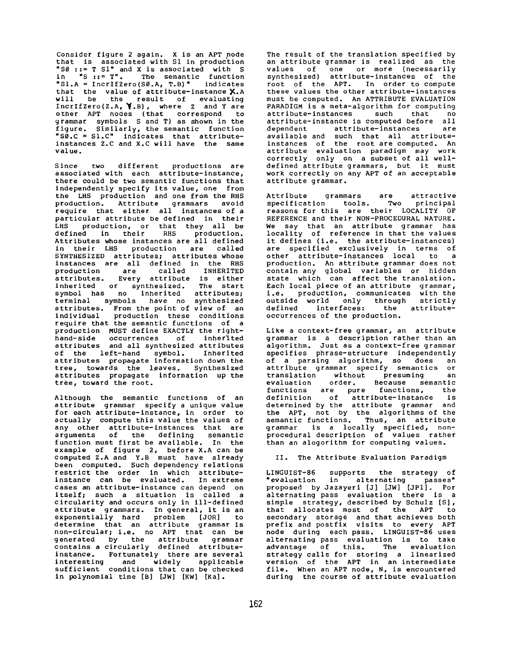Consider figure 2 again. X is an APT node that is associated with S1 in produc'tion "S0 ::= T SI" and X is associated with S in "S ::= T". The semantic function NSI.A = IncrIfZero(S0.A, T.B)" indicates that the value of attribute-instance  $\boldsymbol{\mathsf{X}}$ .A will be the result of evaluating IncrIfZero(Z.A, \\,B), where Z and Y are other APT nodes (that correspond to grammar symbols S and T) as shown in the figure. Similarly, the semantic function "S0.C = SI.C" indicates that attributeinstances Z.C and X.C will have the same value.

Since two different productions are associated with each attribute-instance, there could be two semantic functions that independently specify its value, one from the LHS production and one from the RHS production. Attribute grammars avoid require that either all instances of a particular attribute be defined in their LHS production, or that they all be defined in their RHS production. Attributes whose instances are all defined in their LHS production are called SYNTHESIZED attributes; attributes whose instances are all defined in the RHS production are called INHERITED attributes. Every attribute is either inherited or synthesized. The start symbol has no inherited attributes; terminal symbols have no synthesized attributes. From the point of view of an individual production these conditions require that the semantic functions of a production MUST define EXACTLY the righthand-side occurrences of inherited attributes and all synthesized attributes of the left-hand symbol. Inherited attributes propagate information down the tree, towards the leaves. Synthesized attributes propagate information up the tree, toward the root.

Although the semantic functions of an attribute grammar specify a unique value for each attribute-instance, in order to actually compute this value the values of any other attribute-instances that are arguments of the defining semantic function must first be available. In the example of figure 2, before X.A can be computed Z.A and Y.B must have already been computed. Such dependency relations restrict the order in which attributeinstance can be evaluated. In extreme cases an attribute-instance can depend on itself; such a situation is called a circularity and occurs only in ill-defined attribute grammars. In general, it is an exponentially hard problem [JOR] to determine that an attribute grammar is non-circular; i.e. no APT that can be generated by the attribute grammar contains a circularly defined attributeinstance. Fortunately there are several interesting and widely applicable sufficient conditions that can be checked in polynomial time [B] [JW] [KW] [Ka].

The result of the translation specified by an attribute grammar is realized as the values of one or more (necessarily synthesized) attribute-instances of the root of the APT. In order to compute these values the other attribute-instances must be computed. An ATTRIBUTE EVALUATION PARADIGM is a meta-algorithm for computing attribute-instances such that no<br>attribute-instance-is-computed-before all attribute-instance is computed before all<br>dependent attribute-instances are dependent attribute-instances available and such that all attributeinstances of the root are computed. An attribute evaluation paradigm may work correctly only on a subset of all welldefined attribute grammars, but it must work correctly on any APT of an acceptable attribute grammar.

Attribute grammars are attractive specification tools. Two principal reasons for this are their LOCALITY OF REFERENCE and their NON-PROCEDURAL NATURE. We say that an attribute grammar has locality of reference in that the values it defines (i.e. the attribute-instances) are specified exclusively in terms of other attribute-instances local to a production. An attribute grammar does not contain any global variables or hidden state which can affect the translation. Each local piece of an attribute grammar, i.e. production, communicates with the outside world only through strictly defined interfaces: the attributeoccurrences of the production.

Like a context-free grammar, an attribute *grammar* is a description rather than an algorithm. Just as a context-free grammar specifies phrase-structure independently of a parsing algorithm, so does an attribute grammar specify semantics or translation without presuming an evaluation order. Because semantic functions are pure functions, the definition of attribute-instance is determined by the attribute *grammar* and the APT, not by the algorithms of the semantic functions. Thus, an attribute grammar is a locally specified, nonprocedural description of values rather than an alogorithm for computing values.

## II. The Attribute Evaluation Paradigm

LINGUIST-86 supports the strategy of "evaluation in alternating passes" proposed by Jazayeri [J] [JW] [JPI]. For alternating pass *evaluation* there is a simple strategy, described by Schulz [S], that allocates most of the APT to secondary storage and that achieves both prefix and postfix visits to every APT node during each pass. LINGUIST-86 uses alternating pass evaluation is to take advantage of this. The evaluation strategy calls for storing a linearized version of the APT in an intermediate file. When an APT node, N, is encountered during the course of attribute evaluation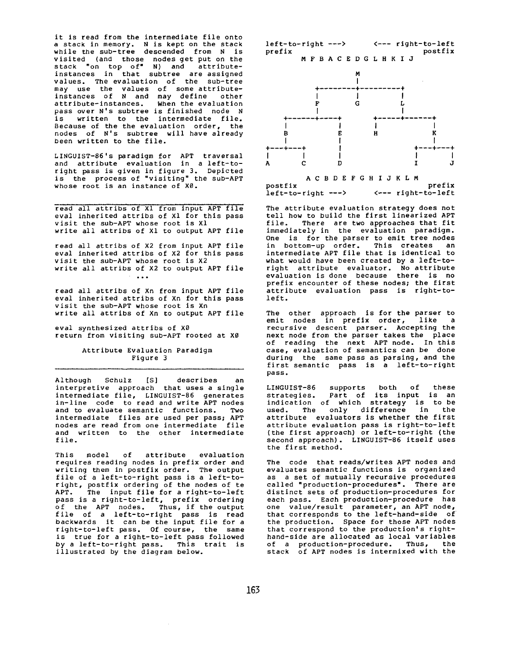it is read from the intermediate file onto a stack in memory. N is kept on the stack while the sub-tree descended from N is visited (and those nodes get put on the stack "on top of" N) and attributeinstances in that subtree are assigned values. The evaluation of the sub-tree may use the values of some attributeinstances of N and may define other attribute-instances. When the evaluation pass over N's subtree is finished node N is written to the intermediate file. Because of the the *evaluation* order, the nodes of N's subtree will have already been written to the file.

LINGUIST-86's paradigm for APT traversal and attribute evaluation in a left-toright pass is given in figure 3. Depicted is the process of "visiting" the sub-APT whose root is an instance of X0.

read all attribs of ×i from input APT file eval inherited attribs of Xl for this pass visit the sub-APT whose root is X1 write all attribs of Xl to output APT file

read all attribs of X2 from input APT file eval inherited attribs of X2 for this pass visit the sub-APT whose root is X2 write all attribs of X2 to output APT file  $\sim$  . . .

read all attribs of Xn from input APT file eval inherited attribs of Xn for this pass visit the sub-APT whose root is Xn write all attribs of Xn to output APT file

eval synthesized attribs of  $X\emptyset$ return from visiting sub-APT rooted at X0

# Attribute *Evaluation* Paradigm Figure 3

Although Schulz IS] describes an interpretive approach that uses a single intermediate file, LINGUIST-86 generates in-line code to read *and* write APT nodes and to evaluate semantic functions. Two intermediate files are used per pass; APT nodes are read from one intermediate file *and* written to the other *intermediate*  file.

This model of attribute evaluation requires reading nodes in prefix order and writing them in postfix order. The output file of a left-to-right pass is a left-toright, postfix ordering of the nodes of te APT. The input file for a right-to-left pass is a right-to-left, prefix ordering of the APT nodes. Thus, if the output file of a left-to-right pass is read backwards it can be the input file for a right-to-left pass. Of course, the same is true for a right-to-left pass followed by a left-to-right pass. This trait is illustrated by the diagram below.





AC B DE FG H I J K LM postfix prefix  $\leftarrow -$  right-to-left

The attribute evaluation strategy does not tell how to build the first linearized APT file. There are two approaches that fit immediately in the *evaluation* paradigm. One is for the parser to emit tree nodes in bottom-up order. This creates an intermediate APT file that is identical to what would have been created by a left-toright attribute *evaluator.* No attribute evaluation is done because there is no prefix encounter of these nodes; the first attribute *evaluation* pass is right-toleft.

The other approach is for the parser to emit nodes in prefix order, like a recursive descent parser. Accepting the next node from the parser takes the place of reading the next APT node. In this case, evaluation of semantics can be done during the same pass as parsing, and the first semantic pass is a left-to-right pass.

LINGUIST-86 supports both of these strategies. Part of its input is an indication of which strategy is to be used. The only difference in the *attribute evaluators* is whether the first *attribute* evaluation pass is right-to-left (the first approach) or left-to-right (the second approach). LINGUIST-86 itself uses the first method.

The code that reads/writes APT nodes and evaluates semantic functions is organized as a set of mutually recursive procedures called "production-procedures". There *are*  distinct sets of production-procedures for each pass. Each production-procedure has one value/result parameter, an APT node, that corresponds to the left-hand-side of the production. Space for those APT nodes that correspond to the production's righthand-side *are* allocated as local variables of *a production-procedure.* Thus, the stack of APT nodes is intermixed with the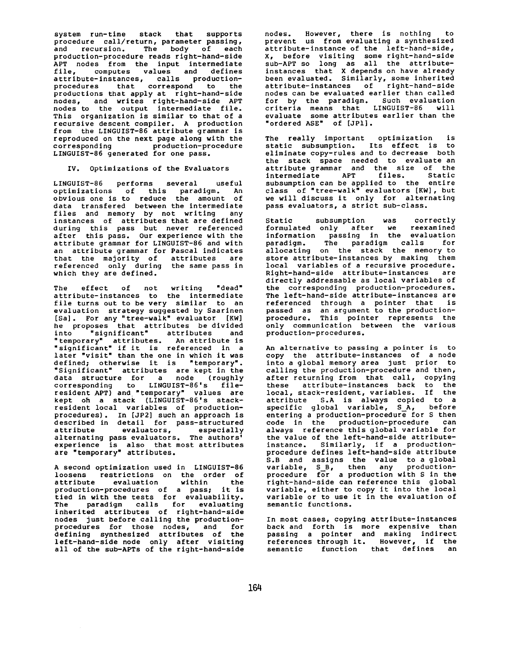system run-time stack that supports procedure call/return, parameter passing, and recursion. The body of each production-procedure reads rlght-hand-side APT nodes from the input intermediate file, computes values and defines attrlbute-instances, calls productionprocedures *that* correspond to the productions that apply at right-hand-side nodes, and writes right-hand-side APT nodes to the output intermediate file. This organization is similar to that of a recursive descent compiler. A production from the LINGUIST-86 attribute grammar is reproduced on the next page along with the corresponding production-procedure LINGUIST-86 generated for one pass.

## IV. Optimizations of the Evaluators

LINGUIST-86 performs several useful optimizations of this paradigm. An obvious one is to reduce the amount of data transfered between the intermediate files and memory by not writing any instances of attributes that are defined during this pass but never referenced after this pass. Our experience with the attribute grammar for LINGUIST-86 and with an attribute grammar for Pascal indicates that the majority of attributes are referenced only during the same pass in which they are defined.

The effect of not writing "dead" attribute-instances to the intermediate file turns out to be very similar to an evaluation strategy suggested by Saarinen [Sa]. For any "tree-walk" evaluator [KW] he proposes that attributes be divided into "significant" attributes and "temporary" attributes. An attribute is "significant" if it is referenced in a later "visit" than the one in which it was defined; otherwise it is "temporary". "Significant" attributes are kept in the data structure for a node (roughly corresponding to LINGUIST-86's fileresident APT) and "temporary" values are kept oh a stack (LINGUIST-86'S stackresident local variables of productionprocedures). In [JP2] such an approach is described in detail for pass-structured attribute evaluators, especially alternating pass evaluators. The authors' experience is also that most attributes are "temporary" attributes.

A second optimization used in LINGUIST-86 loosens restrictions on the order of attribute evaluation within the production-procedures of a pass; it is tied in with the tests for evaluability. The paradigm calls for evaluating inherited attributes of right-hand-side nodes just before calling the productionprocedures for those nodes, and for defining synthesized attributes of the left-hand-slde node only after visiting all of the sub-APTs of the right-hand-side

nodes. However, there is nothing to prevent us from evaluating a synthesized attribute-instance of the left-hand-side, X, before visiting some right-hand-side sub-APT so long as all the attributeinstances that X depends on have already been evaluated. Similarly, some inherited attribute-instances of right-hand-slde nodes can be evaluated earlier than called for by the paradigm. Such evaluation criteria means that LINGUIST-86 will evaluate some attributes earlier than the "ordered ASE" of [JPI].

The really important optimization is static subsumption. Its effect is to eliminate copy-rules and to decrease both the stack space needed to evaluate an attribute grammar and the size of the intermediate APT files. Static subsumption can be applied to the entire class of "tree-walk" evaluators [KW], but we will discuss it only for alternating pass evaluators, a strict sub-class.

Static subsumption was correctly formulated only after we reexamined information passing in the *evaluation*  paradigm. The paradigm calls for allocating on the stack the memory to store attribute-instances by making them local variables of a recursive procedure. Right-hand-side attrlbute-lnstances are directly addressable as local variables of the corresponding production-procedures. The left-hand-side attribute-instances are referenced through a pointer that is passed as an argument to the productionprocedure. This pointer represents the only communication between the various production-procedures.

An alternative to passing a pointer is to copy the attribute-instances of a node into a global memory *area* just prior to calling the production-procedure and then, after returning from that call, copying these attribute-instances back to the local, stack-resident, variables. If the attribute S.A is always copied to a specific global variable, S\_A, before entering a production-procedure for S then code in the production-procedure can always reference this global variable for the value of the left-hand-side attributeinstance. Similarly, if a productionprocedure defines left-hand-side attribute S.B and assigns the value to a global variable, S\_B, then any productionprocedure for a production with S in the right-hand-side can reference this global variable, either to copy it into the local variable or to use it in the evaluation of semantic functions.

In most cases, copying attribute-instances back and forth is more expensive than passing a pointer and making indirect references through it. However, if the semantic function that defines an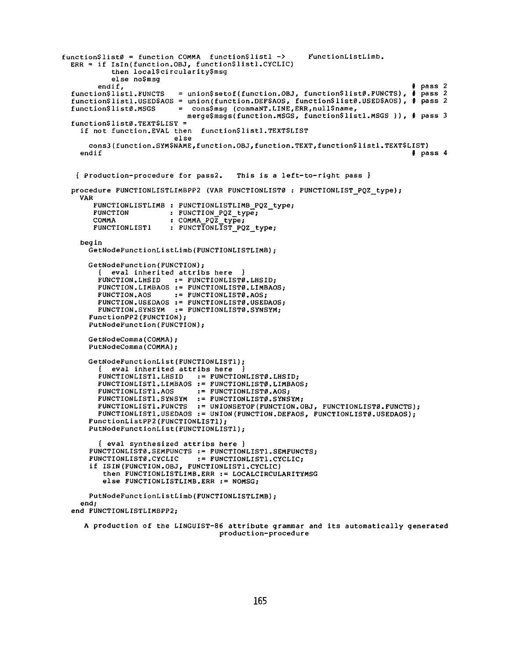```
function$list0 = function COMMA function$1list1 -> FunctionlistLimb.
  ERR = if Isln(function.OBJ, function$1istl.CYCLIC) 
             then local$circularity$msg 
         else no$msg<br>endif,
  endif, # pass 2 
function$1istl.FUNCTS = union$setof(function. OBJ, function$1ist0.FUNCTS), # pass 2 
  function$listl. USED$AOS = union(function.DEF$AOS, function$list0.USED$AOS), # pass 2<br>function$list0.MSGS = cons$msq (commaNT.LINE,ERR,null$name,
                               function$1ist0.MSGS = cons$msg (commaNT.LINE,ERR,null$name, 
                                 merge$msgs(function.MSGS, function$1istl.MSGS )), # pass 3 
  function$1ist0.TEXT$LIST = 
    if not function. EVAL then function$1istl.TEXT$LIST 
                             else 
       cons3(function. SYM$NAME,function. OBJ,function. TEXT,function$1istl.TEXT$LIST) 
     endif \qquad \qquad \qquad \qquad \qquad \qquad \qquad \qquad \qquad \qquad \qquad \qquad \qquad \qquad \qquad \qquad \qquad \qquad \qquad \qquad \qquad \qquad \qquad \qquad \qquad \qquad \qquad \qquad \qquad \qquad \qquad \qquad \qquad \qquad \qquad \qquad{ Production-procedure for pass2. This is a left-to-right pass } 
  procedure FUNCTIONLISTLIMBPP2 (VAR FUNCTIONLIST0 : FUNCTIONLIST PQZ type); 
    VAR 
        FUNCTIONLISTLIMB : FUNCTIONLISTLIMB_PQZ_type;<br>FUNCTION : FUNCTION POZ type;
        FUNCTION : FUNCTION POZ type;<br>COMMA : COMMA POZ type;
        COMMA<br>
FUNCTIONLIST1 : FUNCTIONLIST PO
                            : FUNCTIONLIST PQZ type;
    begin 
       GetNodeFunctionListLimb(FUNCTIONLISTLIMB); 
       GetNodeFunction(FUNCTION); 
            eval inherited attribs here
         FUNCTION.LHSID := FUNCTIONLISTØ.LHSID;
         FUNCTION.LIMBAOS := FUNCTIONLISTØ.LIMBAOS;<br>FUNCTION.AOS := FUNCTIONLISTØ.AOS;
                            := FUNCTIONLIST0.AOS;
         FUNCTION.USEDAOS := FUNCTIONLISTØ.USEDAOS;
         FUNCTION.SYNSYM == FUNCTIONLIST0.SYNSYM; 
       FunctionPP2(FUNCTION); 
       PutNodeFunction(FUNCTION); 
       GetNodeComma(COMMA); 
       PutNodeComma(COMMA); 
       GetNodeFunctionList(FUNCTIONLISTl); 
            eval inherited attribs here
         FUNCTIONLISTI.LHSID := FUNCTIONLIST0.LHSID; 
         FUNCTIONLIST1.LIMBAOS := FUNCTIONLIST0.LIMBAOS;FUNCTIONLISTI.AOS := FUNCTIONLIST0.AOS; 
         FHNCTIONLISTI.SYNSYM := FUNCTIONLIST0.SYNSYM; 
         FUNCTIONLISTI.FUNCTS := UNIONSETOF(FUNCTION.OBJ, FUNCTIONLIST0.FUNCTS); 
         FUNCTIONLISTI.USEDAOS := UNION(FUNCTION.DEFAOS, FUNCTIONLIST0.USEDAOS); 
       FunctionListPP2(FUNCTIONLISTI); 
       PutNodeFunctionList(FUNCTIONLISTl); 
         { eva1 synthesized attribs here } 
       FUNCTIONLIST0.SEMFUNCTS == FUNCTIONLISTI.SEMFUNCTS; 
       FUNCTIONLIST0.CYCLIC == FUNCTIONLIST1.CYCLIC; 
       if ISIN(FUNCTION.OBJ, FUNCTIONLIST1.CYCLIC) 
           then FUNCTIONLISTLIMB.ERR := LOCALCIRCULARITYMSG 
          else FUNCTIONLISTLIMB.ERR := NOMSG; 
       PutNodeFunctionListLimb(FUNCTIONLISTLIMB); 
    end; 
  end FUNCTIONLISTLIMBPP2; 
     A production of the LINGUIST-86 attribute grammar and its automatically generated 
                                         production-procedure
```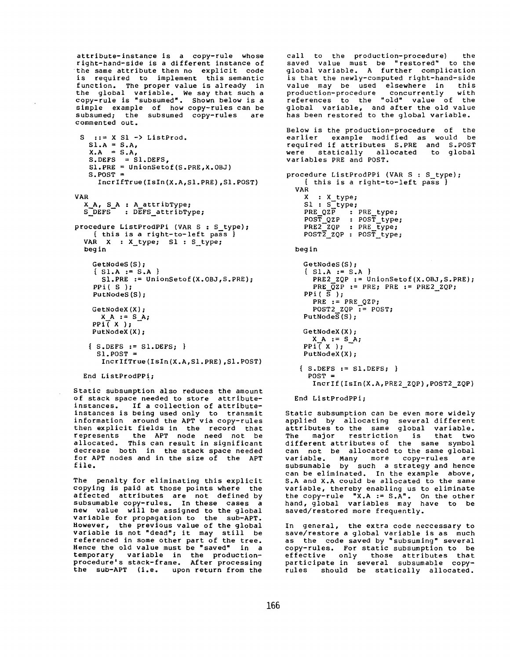attribute-instance is a copy-rule whose right-hand-side is a different instance of the same attribute then no explicit code is required to implement this semantic function. The proper value is already in the global variable. We say that such a copy-rule is "subsumed". Shown below is a simple example of how copy-rules can be subsumed; the subsumed copy-rules are commented out.

```
S ::= X S1 -> ListProd.
   SI.A = S.A,X.A = S.AS.DEFS = S1.DEFS,SI.PRE = UnionSetof(S.PRE,X.OBJ) 
   S.POST = 
     IncrIfTrue(IsIn(X.A,SI.PRE),SI.POST) 
VAR
  X A, S_A : A__attribType; 
  S DEFS : DEFS_attribType; 
procedure ListProdPPi (VAR S : S_type); 
    { this is a right-to-left pass }
```

```
VAR X : X_type; S1 : S_type;
begin 
  GetNodeS (S) ;
```

```
{ S1.A := S.A }SI.PRE := UnionSetof(X.OBJ,S.PRE); 
PPi( S ); 
PutNodeS(S); 
GetNodeX (X) ; 
 X A := S_A;PPI(X);
PutNodeX (X) ;
```

```
{ S.DEFS := SI.DEFS; } 
 SI.POST = 
   IncrIfTrue(IsIn(X.A,Sl.PRE),Sl. POST)
```

```
End ListProdPPi;
```
Static subsumption also reduces the amount of stack space needed to store attributeinstances. If a collection of attributeinstances is being used only to transmit information around the APT via copy-rules then explicit fields in the record that represents the APT node need not be allocated. This can result in significant decrease both in the stack space needed for APT nodes and in the size of the APT file.

The penalty for eliminating this explicit copying is paid at those points where the affected attributes are not defined by *subsumable* copy-rules. In these cases a new value will be assigned to the global variable for propagation to the sub-APT. However, the previous value of the global variable is not "dead"; it may still be referenced in some other part of the tree. Hence the old value must be "saved" in a temporary variable in the productionprocedure's stack-frame. After processing the sub-APT (i.e. upon return from the

call to the production-procedure) the<br>saved value must be "restored" to the saved value must be "restored" global variable. A further complication is that the newly-computed right-hand-side value may be used elsewhere in this production-procedure concurrently with references to the "old" value of the global variable, and after the old value has been restored to the global variable. Below is the production-procedure of the earlier example modified as would be required if attributes S.PRE and S.POST were statically allocated to global variables PRE and POST. procedure ListProdPPi (VAR S : S\_type); { this is a right-to-left pass } VAR X : X\_type; S1 : S\_type; PRE QZP : PRE type; POS~\_QZP : POST\_type; PRE2 ZQP : PRE\_type;  $POST\overline{2}$  zQP : POST type; beg in GetNodeS(S);  ${ S1.A := S.A }$ PRE2 ZQP := UnionSetof(X.OBJ,S.PRE); PRE  $\overline{Q}$ zP := PRE; PRE := PRE2 ZQP; PPi $(\overline{S})$ ; PRE := PRE QZP; POST2 ZQP  $\mathbf{r}$  = POST;  $PutNodeS(S);$ GetNodeX (X) ; **X A** := S A; PPi( X ); PutNodeX (X) ; **{** S.DEFS := SI.DEFS; } POST = IncrIf(IsIn(X.A,PRE2\_ZQP),POST2 ZQP)

End ListProdPPi;

Static subsumption can be even more widely applied by allocating several different attributes to the same global variable. The major restriction is that two different attributes of the same symbol can not be allocated to the same global variable. Many more copy-rules are subsumable by such a strategy and hence can be eliminated. In the example above, S.A and X.A could be allocated to the same variable, thereby enabling us to eliminate the copy-rule "X.A := S.A". On the other hand, global variables may have to be saved/restored more frequently.

In general, the extra code neccessary to save/restore a global variable is as much as the code saved by "subsuming" several copy-rules. For static subsumption to be effective only those attributes that participate in several subsumable copyrules should be statically allocated.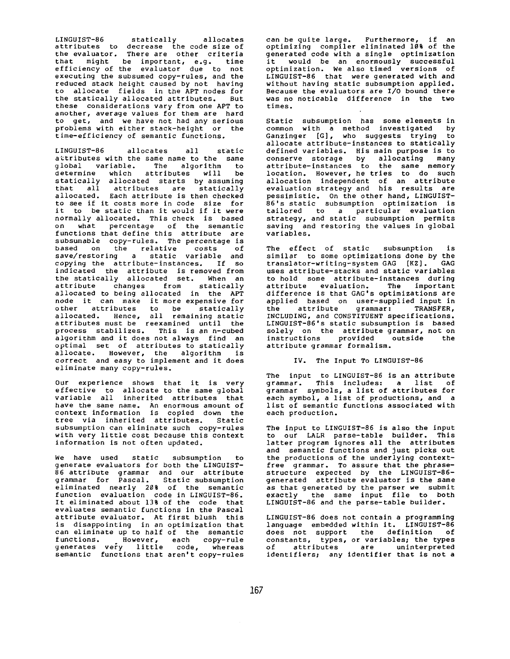LINGUIST-86 statically allocates attributes to decrease the code size of the *evaluator.* There are other criteria that might be important, e.g. time efficiency of the *evaluator* due to not executing the subsumed copy-rules, and the reduced stack height caused by not having to allocate fields in the APT nodes for the statically allocated attributes. But these considerations vary from one APT to another, average values for them are hard to get, and we have not had any serious problems with either stack-height or the time-efficiency of semantic functions.

LINGUIST-86 allocates all static attributes with the same name to the same global variable. The algorithm to determine which attributes will be statically allocated starts by assuming that all attributes are statically allocated. Each attribute is then checked to see if it costs more in code size for it to be static than it would if it were normally *allocated.* This check is based on what percentage of the semantic functions that define this attribute are subsumable copy-rules. The percentage is based on the relative costs of save/restOring a static variable and copying the attribute-instances. If so indicated the attribute is removed from the statically allocated set. When an attribute changes from statically *allocated to* being allocated in the APT node it can make it more expensive for other attributes to be statically allocated. Hence, all remaining static attributes must be reexamined until the process stabilizes. This is an n-cubed algorithm and it does not always find an optimal set of attributes to statically allocate. However, the algorithm is correct and easy to implement and it does eliminate many copy-rules.

Our experience shows *that* it is very effective to allocate to the same global variable all inherited attributes that have the same name. An enormous amount of context information is copied down the tree via inherited attributes. Static subsumption can eliminate such copy-rules with very little cost because this context information is not often *updated.* 

We have used static subsumption to generate *evaluators* for both the LINGUIST-86 attribute grammar *and* our attribute grammar for Pascal. Static *subsumption*  eliminated nearly 2@% of the semantic function evaluation code in LINGUIST-86. It eliminated about 13% of the code that evaluates semantic functions in the Pascal attribute evaluator. At first blush this is disappointing in an optimization that can eliminate up to half of the semantic functions. However, each copy-rule generates very little code, whereas semantic functions that aren't copy-rules

can be quite large. Furthermore, if an optimizing compiler eliminated 10% of the generated code with a single optimization it would be an enormously successful optimization. We also timed versions of LINGUIST-86 that were generated with and without having static subsumption applied. Because the *evaluators* are I/O bound there was no noticable difference in the two times.

Static subsumption has some elements in common with a method investigated by Ganzinger [G], who suggests trying to allocate *attribute-instances to* statically defined variables. His main purpose is to conserve storage by allocating many attribute-instances to the same memory location. However, he tries to do such allocation independent of an attribute evaluation strategy and his results are pessimistic. On the other hand, LINGUIST-86's static subsumption optimization is tailored to a particular evaluation strategy, and static subsumption permits saving and restoring the values in global variables.

The effect of static subsumption similar to some optimizations done by the<br>translator-writing-system GAG [KZ], GAG translator-writing-system GAG [KZ]. uses attribute-stacks and static variables to hold some *attribute-instances* during attribute evaluation. The important difference is that GAG's optimizations are applied based on user-supplied input in the attribute grammar: TRANSFER, INCLUDING, and CONSTITUENT specifications. LINGUIST-86's static subsumption is based solely on the attribute grammar, not on<br>instructions provided outside the instructions provided outside attribute grammar formalism.

## IV. The Input To LINGUIST-86

The input to LINGUIST-86 is an attribute grammar. This includes: a llst of grammar symbols, a llst of attributes for each symbol, a list of productions, and a list of semantic functions associated with each production.

The input to LINGUIST-86 is also the input to our LALR parse-table builder. This latter program ignores all the attributes and semantic functions and just picks out the productions of the underlying contextfree grammar. To assure that the phrasestructure expected by the LINGUIST-86 generated attribute evaluator is the same as that generated by the parser we submit exactly the same input file to both LINGUIST-86 and the parse-table Duilder.

LINGUIST-86 does not contain a programming language embedded within it. LINGUIST-86 does not support the definition of constants, types, or variables; the types of attributes are uninterpreted identifiers; any identifier that is not a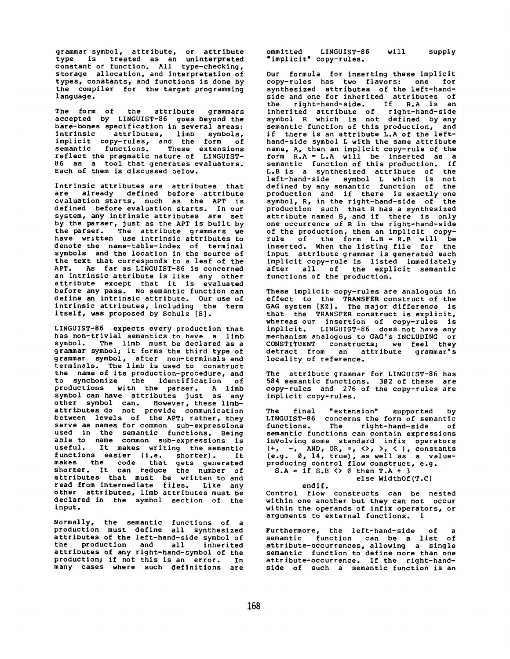grammar symbol, attribute, or attribute type is treated as an uninterpreted constant or function. All type-checking, storage allocation, and interpretation of types, constants, and functions is done by the compiler for the *target* programming language.

The form of the attribute grammars accepted by LINGUIST-86 goes beyond the bare-bones specification in several areas:<br>intrinsic attributes, limb symbols, attributes, limb symbols, implicit copy-rules, and the form of semantic functions. These extensions reflect the pragmatic nature of LINGUIST-86 as a tool that generates evaluators. Each of them is discussed below.

Intrinsic attributes are attributes that are already defined before attribute *evaluation* starts, much as the APT is defined before evaluation starts. In our system, any intrinsic attributes are set by the parser, just as the APT is built by the parser. The attribute grammars we have written use intrinsic attributes to denote the name-table-index of terminal symbols and the location in the source of the text that corresponds to a leaf of the APT. As far as LINGUIST-86 is concerned an intrinsic attribute is like any other attribute except that it is evaluated before any pass. No semantic function can define an intrinsic attribute. Our use of intrinsic attributes, including the term itself, was proposed by Schulz [S].

LINGUIST-86 expects every production that has non-trivial semantics to have a limb symbol. The limb must be declared as a grammar symbol; it forms the third type of grammar symbol, after non-terminals and terminals. The limb is used to construct the name of its production-procedure, and to synchonize the identification of productions with the parser. A limb symbol can have attributes just as any other symbol can. However, these limbattributes do not provide communication between levels of the APT; rather, they serve as names for common sub-expressions used in the semantic functions. Being able to name common sub-expressions is useful. It makes writing the semantic functions easier (i.e. shorter). It makes the code that gets generated shorter. It can reduce the number of attributes that must be written to and read from intermediate files. Like any other attributes, limb attributes must be declared in the symbol section of the input.

Normally, the semantic functions of a production must define all synthesized attributes of the left-hand-side symbol of the production and all inherited attributes of any right-hand-symbol of the production; if not this is an error. In many cases where such definitions are

ommitted LINGUIST-86 "implicit" copy-rules. will supply

Our formula for inserting these implicit<br>copy-rules has two flavors: one for  $copy$ -rules has two flavors: one synthesized *attributes* of the left-handside and one for inherited attributes of the right-hand-side. If R.A is an inherited attribute of rlght-hand-side symbol R which is not defined by any semantic function of this production, and if there is an attribute L.A of the lefthand-side symbol L with the same attribute name, A, then an implicit copy-rule of the form R.A = L.A will be inserted as a semantic function of this production. If L.B is a synthesized attribute of the left-hand-slde symbol L which is not defined by any semantic function of the production and if there is exactly one symbol, R, in the right-hand-slde of the production such that R has a synthesized attribute named B, and if there is only one occurrence of R in the right-hand-slde of the production, then an implicit copyrule of the form L.B = R.B will be inserted. When the listing file for the input attribute grammar is generated each implicit copy-rule is listed immediately after all of the explicit semantic functions of the production.

These implicit copy-rules are analogous in effect to the TRANSFER construct of the GAG system [KZ]. The major difference is that the TRANSFER construct is explicit, whereas our insertion of copy-rules is implicit. LINGUIST-86 does not have any mechanism analogous to GAG's INCLUDING or CONSTITUENT constructs; we feel they detract from an attribute grammar's locality of reference.

The attribute grammar for LINGUIST-86 has 584 semantic functions. 302 of these are copy-rules and 276 of the copy-rules are implicit copy-rules.

The final "extension" supported by LINGUIST-86 concerns the form of semantic functions. The right-hand-side of semantic functions can contain expressions involving some standard infix operators (+, -, AND, OR, =, <>, >, < ), constants (e.g. 0, 14, true), as well as a valueproducing control flow construct, e.g.  $S.A =$  if  $S.B \Leftrightarrow \emptyset$  then  $T.A + 3$ 

else WidthOf(T.C)

endif. Control flow constructs can be nested within one another but they can not occur within the operands of infix operators, or arguments to external functions, i

Furthermore, the left-hand-side of a semantic function can be a list of attribute-occurrences, allowing a single semantic function to define more than one attribute-occurrence. If the right-handside of such a semantic function is an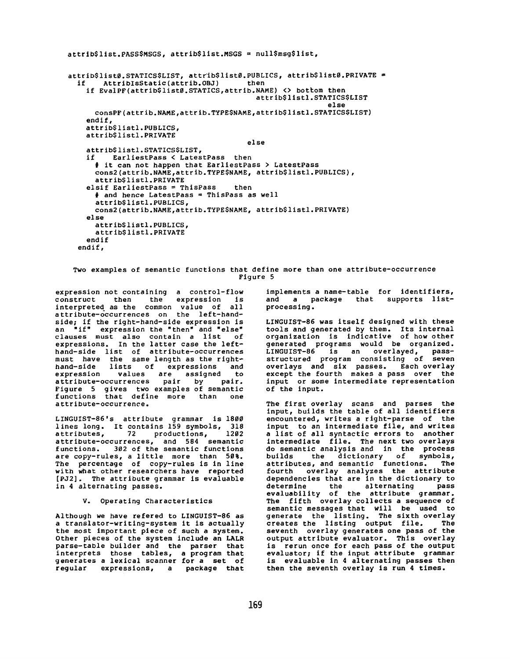```
attrib$1ist.PASS$MSGS, attrib$1ist.MSGS = null$msg$1ist, 
attrib$listØ.STATICS$LIST, attrib$listØ.PUBLICS, attrib$listØ.PRIVATE =<br>if AttribIsStatic(attrib.OBJ) then
       AttribIsStatic(attrib.OBJ)
    if EvalPF(attrib$list0.STATICS,attrib.NAME) <> bottom then
                                             attrib$11stI.STATICS$LIST 
                                                               else 
      consPF(attrib.NAME,attrib.TYPE$NAME,attrlb$11stl.STATICS$LIST) 
    endif, 
    attrib$11stl.PUBLICS, 
    attrib$1istl.PRIVATE 
                                           else 
    attrib$1istl. STATICS$LIST, 
    if EarliestPass < LatestPass then 
      # it can not happen that EarliestPass > LatestPass 
      cons2(attrib.NAME,attrib.TYPESNAME, attrib$1istl.PUBLICS), 
      attrib$1istl.PRIVATE 
    elsif EarliestPass = ThisPass then
      # and hence LatestPass = ThisPass as well 
      attrib$1istl.PUBLICS, 
      cons2(attrib.NAME,attrib.TYPE$NAME, attrib$1istl. PRIVATE) 
    else 
      attrib$1istl. PUBLICS, 
      attrib$1istl.PRIVATE 
    endif 
  endif,
```
Two examples of semantic functions that define more than one attribute-occurrence Figure 5

expression not containing a control-flow construct then the expression is interpreted as the common value of all *attribute-occurrences* on the left-handside; if the right-hand-side expression is an "if" expression the "then" and "else" clauses must also contain a llst of expressions. In the latter case the lefthand-side list of *attribute-occurrences*  must have the same length as the righthand-slde lists of expressions and expression values are assigned to attribute-occurrences pair by pair. Figure 5 gives two examples of semantic functions that define more than one attribute-occurrence.

LINGUIST-86's attribute grammar is 180@ lines long. It contains 159 symbols, 318 attributes, 72 productions, 1202 *attribute-occurrences,* and 584 semantic functions. 3%2 of the semantic functions are copy-rules, a little more than 50%. The percentage of copy-rules is in line with what other researchers have reported [PJ2]. The attribute grammar is evaluable in 4 alternating passes.

V. Operating Characteristics

Although we have refered to LINGUIST-86 as a translator-writing-system it is actually the most important piece of such a system. Other pieces of the system include an LALR parse-table builder and the parser that interprets those tables, a program that generates a lexlcal scanner for a set of regular expressionS, a package that implements a name-table for identifiers, and a package that supports listprocessing.

LINGUIST-86 was itself designed with these tools and generated by them. Its internal organization is indicative of how other generated programs would be organized. LINGUIST-86 is an overlayed, passstructured program consisting of seven overlays and six passes. Each overlay except the fourth makes a pass over the input or some intermediate representation of the input.

The first overlay scans and parses the input, builds the table of all identifiers encountered, writes a right-parse of the input to an intermediate file, and writes a list of all syntactic errors to another intermediate file. The next two overlays do semantic analysis and in the process builds the dictionary of symbols, attributes, and semantic functions. The fourth overlay analyzes the attribute dependencies that are in the dictionary to determine the alternating pass evaluabillty of the attribute grammar. The fifth overlay collects a sequence of semantic messages that will be used to generate the listing. The sixth overlay<br>creates the listing output file. The creates the listing output file. seventh overlay generates one pass of the output attribute evaluator. This overlay is rerun once for each pass of the output evaluator; if the input attribute grammar is evaluable in 4 alternating passes then then the seventh overlay is run 4 times.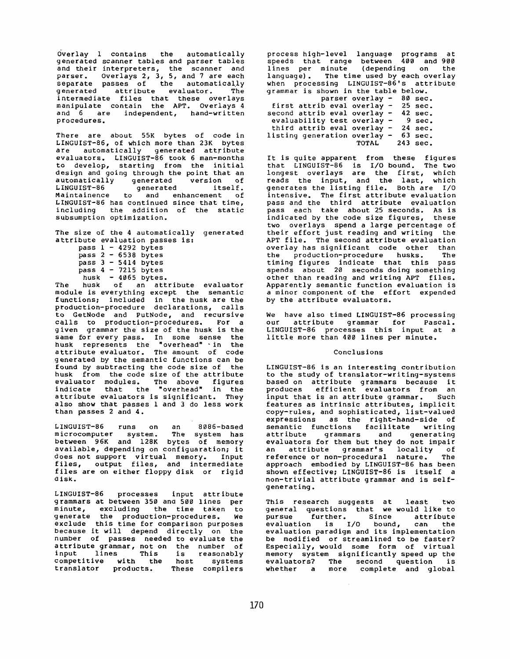Overlay 1 contains the automatically generated scanner tables and parser tables and their interpreters, the scanner and parser. Overlays 2, 3, 5, and 7 are each separate passes of the *automatically*  generated attribute evaluator. The intermediate files that these overlays *manipulate* contain the APT. Overlays 4 and 6 are independent, hand-written procedures.

There are about 55K bytes of code in LINGUIST-86, of which more than 23K bytes are automatically generated attribute evaluators. LINGUIST-86 took 6 man-months to develop, starting from the initial design and going through the point that an automatically generated version of LINGUIST-86 generated itself. Maintainence to and enhancement of LINGUIST-86 has continued since that time, including the addition of the static subsumption optimization.

The size of the 4 automatically generated attribute evaluation passes is:

|          |  |                             | pass 1 - 4292 bytes |
|----------|--|-----------------------------|---------------------|
| pass 2   |  | $\mathcal{L} = \mathcal{L}$ | 6538 bytes          |
| pass 3 - |  |                             | 5414 bytes          |
| pass 4   |  |                             | $-7215$ bytes       |
|          |  |                             | husk - 4065 bytes.  |

The husk of an attribute evaluator module is everything except the semantic functions; included in the husk are the production-procedure declarations, calls to GetNode and PutNode, and recursive calls to production-procedures. For a given grammar the size of the husk is the same for every pass. In some sense the husk represents the "overhead" -in the attribute evaluator. The amount of code generated by the semantic functions can be found by subtracting the code size of the husk from the code size of the attribute evaluator modules. The above figures indicate that the "overhead" in the attribute evaluators is significant. They also show that passes 1 and 3 do less work than passes 2 and 4.

LINGUIST-86 runs on an 8086-based microcomputer system. The system has between 96K and 128K bytes of memory available, depending on configuaration; it does not support virtual memory. Input files, output files, and intermediate files are on either floppy disk or rigid disk.

LINGUIST-86 processes input attribute grammars at between 350 ana 500 lines per minute, excluding the time taken to generate the production-procedures. We exclude this time for comparison purposes because it will depend directly on the number of passes needed to evaluate the attribute grammar, not on the number of input lines This is reasonably competitive with the host systems translator products. These compilers

process high-level language programs at speeds that range between 400 and 900 lines per minute (depending on the language). The time used by each overlay when processing LINGUIST-86'S attribute grammar is shown in the table below.

|                               | parser overlay $-$ | 80 sec.           |
|-------------------------------|--------------------|-------------------|
| first attrib eval overlay -   |                    | $25 \text{ sec.}$ |
| second attrib eval overlay -  |                    | $42 \text{ sec.}$ |
| evaluability test overlay $-$ |                    | 9 sec.            |
| third attrib eval overlay $-$ |                    | $24 \text{ sec.}$ |
| listing generation overlay -  |                    | $63 \text{ sec.}$ |
|                               |                    | TOTAL 243 sec.    |
|                               |                    |                   |

It is quite apparent from these figures that LINGUIST-86 is I/O bound. The two longest overlays are the first, which reads the input, and the last, which generates the listing file. Both are I/O intensive. The first attribute evaluation pass and the third attribute evaluation pass each take about 25 seconds. As is indicated by the code size figures, these two overlays spend a large percentage of their effort just reading and writing the APT file. The second attribute evaluation overlay has significant code other than<br>the production-procedure busks. The the production-procedure husks. timing figures indicate that this pass spends about 20 seconds doing something other than reading and writing APT files. Apparently semantic function evaluation is a minor component of the effort expended by the attribute evaluators.

We have also timed LINGUIST-86 processing our attribute grammar for Pascal. LINGUIST-86 processes this input at a little more than 400 lines per minute.

# Conclusions

LINGUIST-86 is an interesting contribution to the study of translator-writing-systems based on attribute grammars because it produces efficient evaluators from an input that is an attribute grammar. Such features as intrinsic attributes, implicit copy-rules, and sophisticated, list-valued expressions as the right-hand-side of semantic functions facilitate writing attribute grammars and generating evaluators for them but they do not impair an attribute grammar's locality of reference or non-procedural nature. The approach embodied by LINGUIST-86 has been shown effective; LINGUIST-86 is itself a non-trivlal attribute grammar and is selfgenerating.

This research suggests at least two general questions that we would like to pursue further. Since *attribute*  evaluation is I/O bound, can the evaluation paradigm and its implementation be modified or streamlined to be faster? Especially, would some form of virtual memory system significantly speed up the evaluators? The second question is whether a more complete and global